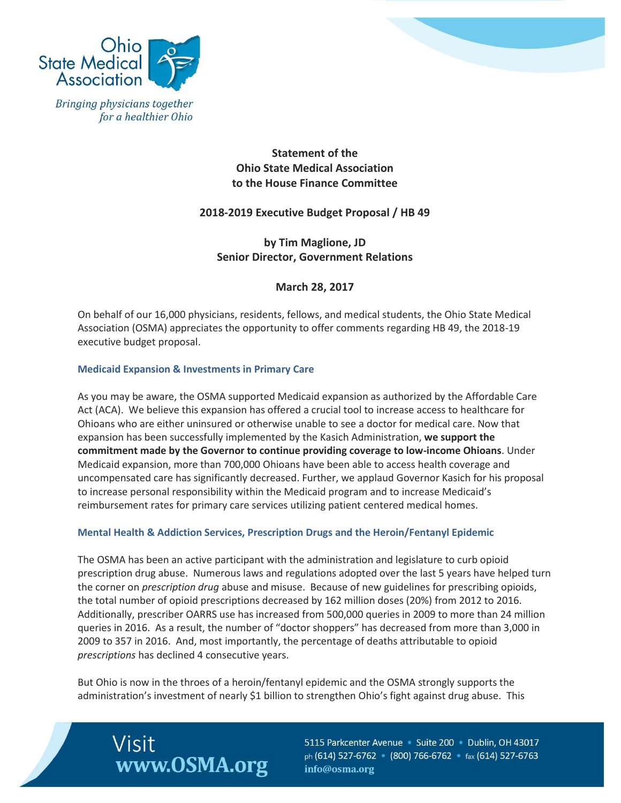



**Statement of the Ohio State Medical Association to the House Finance Committee**

# **2018-2019 Executive Budget Proposal / HB 49**

**by Tim Maglione, JD Senior Director, Government Relations** 

**March 28, 2017**

On behalf of our 16,000 physicians, residents, fellows, and medical students, the Ohio State Medical Association (OSMA) appreciates the opportunity to offer comments regarding HB 49, the 2018-19 executive budget proposal.

### **Medicaid Expansion & Investments in Primary Care**

As you may be aware, the OSMA supported Medicaid expansion as authorized by the Affordable Care Act (ACA). We believe this expansion has offered a crucial tool to increase access to healthcare for Ohioans who are either uninsured or otherwise unable to see a doctor for medical care. Now that expansion has been successfully implemented by the Kasich Administration, **we support the commitment made by the Governor to continue providing coverage to low-income Ohioans**. Under Medicaid expansion, more than 700,000 Ohioans have been able to access health coverage and uncompensated care has significantly decreased. Further, we applaud Governor Kasich for his proposal to increase personal responsibility within the Medicaid program and to increase Medicaid's reimbursement rates for primary care services utilizing patient centered medical homes.

### **Mental Health & Addiction Services, Prescription Drugs and the Heroin/Fentanyl Epidemic**

The OSMA has been an active participant with the administration and legislature to curb opioid prescription drug abuse. Numerous laws and regulations adopted over the last 5 years have helped turn the corner on *prescription drug* abuse and misuse. Because of new guidelines for prescribing opioids, the total number of opioid prescriptions decreased by 162 million doses (20%) from 2012 to 2016. Additionally, prescriber OARRS use has increased from 500,000 queries in 2009 to more than 24 million queries in 2016. As a result, the number of "doctor shoppers" has decreased from more than 3,000 in 2009 to 357 in 2016. And, most importantly, the percentage of deaths attributable to opioid *prescriptions* has declined 4 consecutive years.

But Ohio is now in the throes of a heroin/fentanyl epidemic and the OSMA strongly supports the administration's investment of nearly \$1 billion to strengthen Ohio's fight against drug abuse. This



5115 Parkcenter Avenue · Suite 200 · Dublin, OH 43017 ph (614) 527-6762 (800) 766-6762 · fax (614) 527-6763 info@osma.org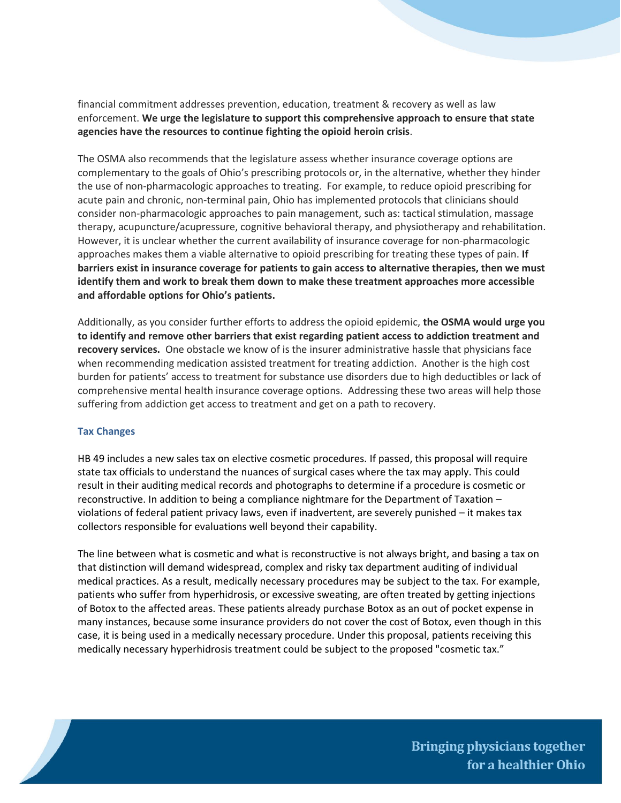financial commitment addresses prevention, education, treatment & recovery as well as law enforcement. **We urge the legislature to support this comprehensive approach to ensure that state agencies have the resources to continue fighting the opioid heroin crisis**.

The OSMA also recommends that the legislature assess whether insurance coverage options are complementary to the goals of Ohio's prescribing protocols or, in the alternative, whether they hinder the use of non-pharmacologic approaches to treating. For example, to reduce opioid prescribing for acute pain and chronic, non-terminal pain, Ohio has implemented protocols that clinicians should consider non-pharmacologic approaches to pain management, such as: tactical stimulation, massage therapy, acupuncture/acupressure, cognitive behavioral therapy, and physiotherapy and rehabilitation. However, it is unclear whether the current availability of insurance coverage for non-pharmacologic approaches makes them a viable alternative to opioid prescribing for treating these types of pain. **If barriers exist in insurance coverage for patients to gain access to alternative therapies, then we must identify them and work to break them down to make these treatment approaches more accessible and affordable options for Ohio's patients.** 

Additionally, as you consider further efforts to address the opioid epidemic, **the OSMA would urge you to identify and remove other barriers that exist regarding patient access to addiction treatment and recovery services.** One obstacle we know of is the insurer administrative hassle that physicians face when recommending medication assisted treatment for treating addiction. Another is the high cost burden for patients' access to treatment for substance use disorders due to high deductibles or lack of comprehensive mental health insurance coverage options. Addressing these two areas will help those suffering from addiction get access to treatment and get on a path to recovery.

### **Tax Changes**

HB 49 includes a new sales tax on elective cosmetic procedures. If passed, this proposal will require state tax officials to understand the nuances of surgical cases where the tax may apply. This could result in their auditing medical records and photographs to determine if a procedure is cosmetic or reconstructive. In addition to being a compliance nightmare for the Department of Taxation – violations of federal patient privacy laws, even if inadvertent, are severely punished – it makes tax collectors responsible for evaluations well beyond their capability.

The line between what is cosmetic and what is reconstructive is not always bright, and basing a tax on that distinction will demand widespread, complex and risky tax department auditing of individual medical practices. As a result, medically necessary procedures may be subject to the tax. For example, patients who suffer from hyperhidrosis, or excessive sweating, are often treated by getting injections of Botox to the affected areas. These patients already purchase Botox as an out of pocket expense in many instances, because some insurance providers do not cover the cost of Botox, even though in this case, it is being used in a medically necessary procedure. Under this proposal, patients receiving this medically necessary hyperhidrosis treatment could be subject to the proposed "cosmetic tax."



**Bringing physicians together** for a healthier Ohio